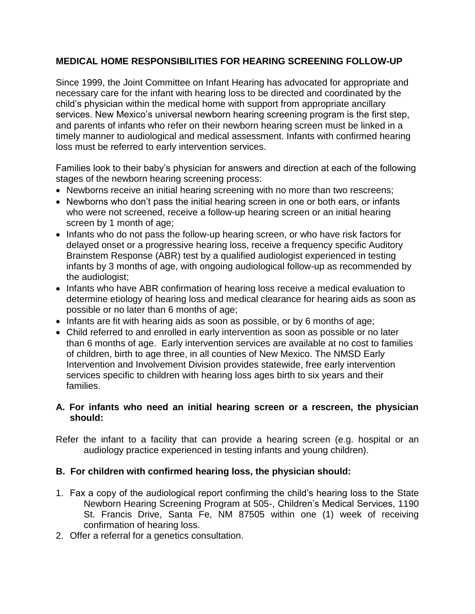# **MEDICAL HOME RESPONSIBILITIES FOR HEARING SCREENING FOLLOW-UP**

Since 1999, the Joint Committee on Infant Hearing has advocated for appropriate and necessary care for the infant with hearing loss to be directed and coordinated by the child's physician within the medical home with support from appropriate ancillary services. New Mexico's universal newborn hearing screening program is the first step, and parents of infants who refer on their newborn hearing screen must be linked in a timely manner to audiological and medical assessment. Infants with confirmed hearing loss must be referred to early intervention services.

Families look to their baby's physician for answers and direction at each of the following stages of the newborn hearing screening process:

- Newborns receive an initial hearing screening with no more than two rescreens;
- Newborns who don't pass the initial hearing screen in one or both ears, or infants who were not screened, receive a follow-up hearing screen or an initial hearing screen by 1 month of age;
- Infants who do not pass the follow-up hearing screen, or who have risk factors for delayed onset or a progressive hearing loss, receive a frequency specific Auditory Brainstem Response (ABR) test by a qualified audiologist experienced in testing infants by 3 months of age, with ongoing audiological follow-up as recommended by the audiologist;
- Infants who have ABR confirmation of hearing loss receive a medical evaluation to determine etiology of hearing loss and medical clearance for hearing aids as soon as possible or no later than 6 months of age;
- Infants are fit with hearing aids as soon as possible, or by 6 months of age;
- Child referred to and enrolled in early intervention as soon as possible or no later than 6 months of age. Early intervention services are available at no cost to families of children, birth to age three, in all counties of New Mexico. The NMSD Early Intervention and Involvement Division provides statewide, free early intervention services specific to children with hearing loss ages birth to six years and their families.

## **A. For infants who need an initial hearing screen or a rescreen, the physician should:**

Refer the infant to a facility that can provide a hearing screen (e.g. hospital or an audiology practice experienced in testing infants and young children).

## **B. For children with confirmed hearing loss, the physician should:**

- 1. Fax a copy of the audiological report confirming the child's hearing loss to the State Newborn Hearing Screening Program at 505-, Children's Medical Services, 1190 St. Francis Drive, Santa Fe, NM 87505 within one (1) week of receiving confirmation of hearing loss.
- 2. Offer a referral for a genetics consultation.